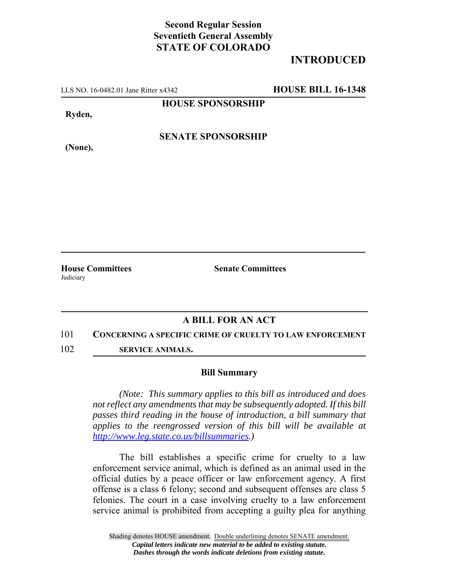## **Second Regular Session Seventieth General Assembly STATE OF COLORADO**

# **INTRODUCED**

LLS NO. 16-0482.01 Jane Ritter x4342 **HOUSE BILL 16-1348**

**HOUSE SPONSORSHIP**

**Ryden,**

**SENATE SPONSORSHIP**

**(None),**

Judiciary

**House Committees Senate Committees** 

## **A BILL FOR AN ACT**

#### 101 **CONCERNING A SPECIFIC CRIME OF CRUELTY TO LAW ENFORCEMENT**

102 **SERVICE ANIMALS.**

### **Bill Summary**

*(Note: This summary applies to this bill as introduced and does not reflect any amendments that may be subsequently adopted. If this bill passes third reading in the house of introduction, a bill summary that applies to the reengrossed version of this bill will be available at http://www.leg.state.co.us/billsummaries.)*

The bill establishes a specific crime for cruelty to a law enforcement service animal, which is defined as an animal used in the official duties by a peace officer or law enforcement agency. A first offense is a class 6 felony; second and subsequent offenses are class 5 felonies. The court in a case involving cruelty to a law enforcement service animal is prohibited from accepting a guilty plea for anything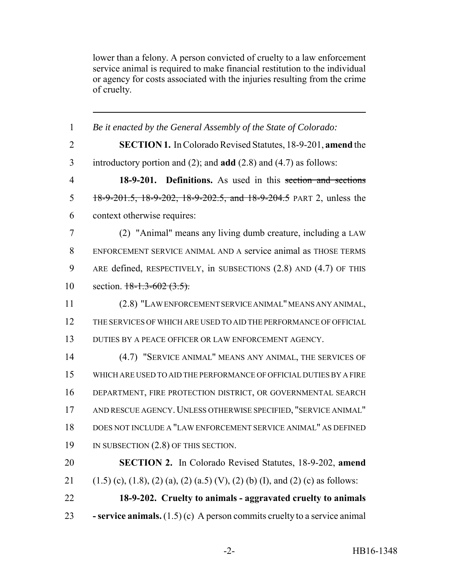lower than a felony. A person convicted of cruelty to a law enforcement service animal is required to make financial restitution to the individual or agency for costs associated with the injuries resulting from the crime of cruelty.

| $\mathbf{1}$   | Be it enacted by the General Assembly of the State of Colorado:                             |
|----------------|---------------------------------------------------------------------------------------------|
| $\overline{2}$ | <b>SECTION 1.</b> In Colorado Revised Statutes, 18-9-201, <b>amend</b> the                  |
| 3              | introductory portion and $(2)$ ; and <b>add</b> $(2.8)$ and $(4.7)$ as follows:             |
| $\overline{4}$ | 18-9-201. Definitions. As used in this section and sections                                 |
| 5              | 18-9-201.5, 18-9-202, 18-9-202.5, and 18-9-204.5 PART 2, unless the                         |
| 6              | context otherwise requires:                                                                 |
| 7              | (2) "Animal" means any living dumb creature, including a LAW                                |
| 8              | ENFORCEMENT SERVICE ANIMAL AND A service animal as THOSE TERMS                              |
| 9              | ARE defined, RESPECTIVELY, in SUBSECTIONS (2.8) AND (4.7) OF THIS                           |
| 10             | section. $18-1.3-602$ (3.5).                                                                |
| 11             | (2.8) "LAW ENFORCEMENT SERVICE ANIMAL" MEANS ANY ANIMAL,                                    |
| 12             | THE SERVICES OF WHICH ARE USED TO AID THE PERFORMANCE OF OFFICIAL                           |
| 13             | DUTIES BY A PEACE OFFICER OR LAW ENFORCEMENT AGENCY.                                        |
| 14             | (4.7) "SERVICE ANIMAL" MEANS ANY ANIMAL, THE SERVICES OF                                    |
| 15             | WHICH ARE USED TO AID THE PERFORMANCE OF OFFICIAL DUTIES BY A FIRE                          |
| 16             | DEPARTMENT, FIRE PROTECTION DISTRICT, OR GOVERNMENTAL SEARCH                                |
| 17             | AND RESCUE AGENCY. UNLESS OTHERWISE SPECIFIED, "SERVICE ANIMAL"                             |
| 18             | DOES NOT INCLUDE A "LAW ENFORCEMENT SERVICE ANIMAL" AS DEFINED                              |
| 19             | IN SUBSECTION (2.8) OF THIS SECTION.                                                        |
| 20             | SECTION 2. In Colorado Revised Statutes, 18-9-202, amend                                    |
| 21             | $(1.5)$ (c), $(1.8)$ , $(2)$ (a), $(2)$ (a.5) (V), $(2)$ (b) (I), and $(2)$ (c) as follows: |
| 22             | 18-9-202. Cruelty to animals - aggravated cruelty to animals                                |
| 23             | - service animals. $(1.5)(c)$ A person commits cruelty to a service animal                  |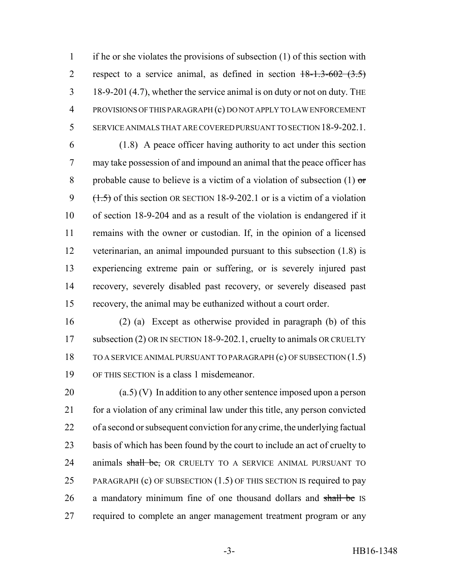if he or she violates the provisions of subsection (1) of this section with 2 respect to a service animal, as defined in section  $18-1.3-602$   $(3.5)$  18-9-201 (4.7), whether the service animal is on duty or not on duty. THE PROVISIONS OF THIS PARAGRAPH (c) DO NOT APPLY TO LAW ENFORCEMENT SERVICE ANIMALS THAT ARE COVERED PURSUANT TO SECTION 18-9-202.1.

 (1.8) A peace officer having authority to act under this section may take possession of and impound an animal that the peace officer has 8 probable cause to believe is a victim of a violation of subsection  $(1)$  or  $(1.5)$  of this section OR SECTION 18-9-202.1 or is a victim of a violation of section 18-9-204 and as a result of the violation is endangered if it remains with the owner or custodian. If, in the opinion of a licensed veterinarian, an animal impounded pursuant to this subsection (1.8) is experiencing extreme pain or suffering, or is severely injured past recovery, severely disabled past recovery, or severely diseased past recovery, the animal may be euthanized without a court order.

 (2) (a) Except as otherwise provided in paragraph (b) of this 17 subsection (2) OR IN SECTION 18-9-202.1, cruelty to animals OR CRUELTY TO A SERVICE ANIMAL PURSUANT TO PARAGRAPH (c) OF SUBSECTION (1.5) OF THIS SECTION is a class 1 misdemeanor.

 (a.5) (V) In addition to any other sentence imposed upon a person for a violation of any criminal law under this title, any person convicted of a second or subsequent conviction for any crime, the underlying factual basis of which has been found by the court to include an act of cruelty to 24 animals shall be, OR CRUELTY TO A SERVICE ANIMAL PURSUANT TO 25 PARAGRAPH (c) OF SUBSECTION (1.5) OF THIS SECTION IS required to pay 26 a mandatory minimum fine of one thousand dollars and shall be IS required to complete an anger management treatment program or any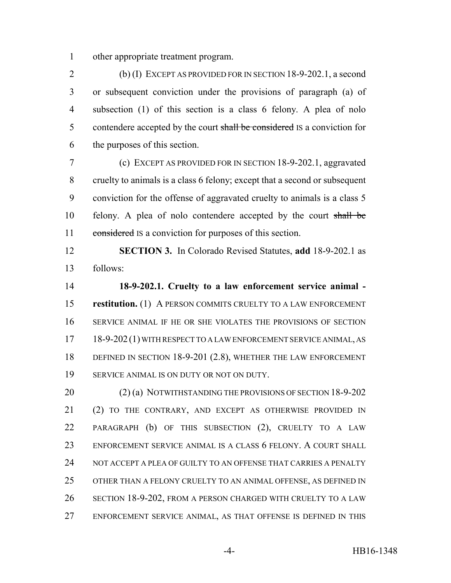other appropriate treatment program.

 (b) (I) EXCEPT AS PROVIDED FOR IN SECTION 18-9-202.1, a second or subsequent conviction under the provisions of paragraph (a) of subsection (1) of this section is a class 6 felony. A plea of nolo 5 contendere accepted by the court shall be considered IS a conviction for the purposes of this section.

 (c) EXCEPT AS PROVIDED FOR IN SECTION 18-9-202.1, aggravated cruelty to animals is a class 6 felony; except that a second or subsequent conviction for the offense of aggravated cruelty to animals is a class 5 felony. A plea of nolo contendere accepted by the court shall be 11 considered IS a conviction for purposes of this section.

 **SECTION 3.** In Colorado Revised Statutes, **add** 18-9-202.1 as follows:

 **18-9-202.1. Cruelty to a law enforcement service animal - restitution.** (1) A PERSON COMMITS CRUELTY TO A LAW ENFORCEMENT SERVICE ANIMAL IF HE OR SHE VIOLATES THE PROVISIONS OF SECTION 18-9-202 (1) WITH RESPECT TO A LAW ENFORCEMENT SERVICE ANIMAL, AS DEFINED IN SECTION 18-9-201 (2.8), WHETHER THE LAW ENFORCEMENT 19 SERVICE ANIMAL IS ON DUTY OR NOT ON DUTY.

 (2) (a) NOTWITHSTANDING THE PROVISIONS OF SECTION 18-9-202 (2) TO THE CONTRARY, AND EXCEPT AS OTHERWISE PROVIDED IN PARAGRAPH (b) OF THIS SUBSECTION (2), CRUELTY TO A LAW ENFORCEMENT SERVICE ANIMAL IS A CLASS 6 FELONY. A COURT SHALL 24 NOT ACCEPT A PLEA OF GUILTY TO AN OFFENSE THAT CARRIES A PENALTY OTHER THAN A FELONY CRUELTY TO AN ANIMAL OFFENSE, AS DEFINED IN SECTION 18-9-202, FROM A PERSON CHARGED WITH CRUELTY TO A LAW ENFORCEMENT SERVICE ANIMAL, AS THAT OFFENSE IS DEFINED IN THIS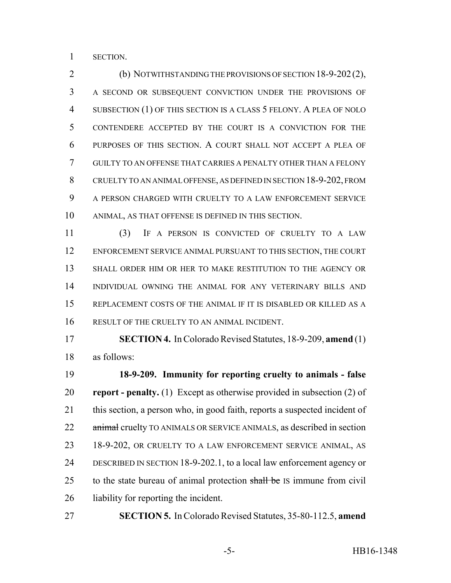SECTION.

 (b) NOTWITHSTANDING THE PROVISIONS OF SECTION 18-9-202(2), A SECOND OR SUBSEQUENT CONVICTION UNDER THE PROVISIONS OF SUBSECTION (1) OF THIS SECTION IS A CLASS 5 FELONY. A PLEA OF NOLO CONTENDERE ACCEPTED BY THE COURT IS A CONVICTION FOR THE PURPOSES OF THIS SECTION. A COURT SHALL NOT ACCEPT A PLEA OF GUILTY TO AN OFFENSE THAT CARRIES A PENALTY OTHER THAN A FELONY CRUELTY TO AN ANIMAL OFFENSE, AS DEFINED IN SECTION 18-9-202, FROM A PERSON CHARGED WITH CRUELTY TO A LAW ENFORCEMENT SERVICE ANIMAL, AS THAT OFFENSE IS DEFINED IN THIS SECTION.

 (3) IF A PERSON IS CONVICTED OF CRUELTY TO A LAW ENFORCEMENT SERVICE ANIMAL PURSUANT TO THIS SECTION, THE COURT SHALL ORDER HIM OR HER TO MAKE RESTITUTION TO THE AGENCY OR INDIVIDUAL OWNING THE ANIMAL FOR ANY VETERINARY BILLS AND REPLACEMENT COSTS OF THE ANIMAL IF IT IS DISABLED OR KILLED AS A RESULT OF THE CRUELTY TO AN ANIMAL INCIDENT.

 **SECTION 4.** In Colorado Revised Statutes, 18-9-209, **amend** (1) as follows:

 **18-9-209. Immunity for reporting cruelty to animals - false report - penalty.** (1) Except as otherwise provided in subsection (2) of this section, a person who, in good faith, reports a suspected incident of 22 animal cruelty TO ANIMALS OR SERVICE ANIMALS, as described in section 18-9-202, OR CRUELTY TO A LAW ENFORCEMENT SERVICE ANIMAL, AS DESCRIBED IN SECTION 18-9-202.1, to a local law enforcement agency or 25 to the state bureau of animal protection shall be IS immune from civil liability for reporting the incident.

**SECTION 5.** In Colorado Revised Statutes, 35-80-112.5, **amend**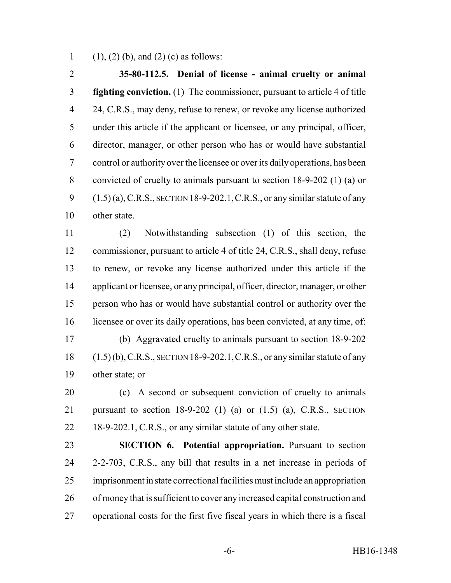1 (1), (2) (b), and (2) (c) as follows:

 **35-80-112.5. Denial of license - animal cruelty or animal fighting conviction.** (1) The commissioner, pursuant to article 4 of title 24, C.R.S., may deny, refuse to renew, or revoke any license authorized under this article if the applicant or licensee, or any principal, officer, director, manager, or other person who has or would have substantial control or authority over the licensee or over its daily operations, has been convicted of cruelty to animals pursuant to section 18-9-202 (1) (a) or (1.5) (a), C.R.S., SECTION 18-9-202.1, C.R.S., or any similar statute of any other state.

 (2) Notwithstanding subsection (1) of this section, the commissioner, pursuant to article 4 of title 24, C.R.S., shall deny, refuse to renew, or revoke any license authorized under this article if the applicant or licensee, or any principal, officer, director, manager, or other person who has or would have substantial control or authority over the licensee or over its daily operations, has been convicted, at any time, of: (b) Aggravated cruelty to animals pursuant to section 18-9-202 (1.5) (b), C.R.S., SECTION 18-9-202.1,C.R.S., or any similar statute of any other state; or

 (c) A second or subsequent conviction of cruelty to animals pursuant to section 18-9-202 (1) (a) or (1.5) (a), C.R.S., SECTION 22 18-9-202.1, C.R.S., or any similar statute of any other state.

 **SECTION 6. Potential appropriation.** Pursuant to section 2-2-703, C.R.S., any bill that results in a net increase in periods of imprisonment in state correctional facilities must include an appropriation of money that is sufficient to cover any increased capital construction and operational costs for the first five fiscal years in which there is a fiscal